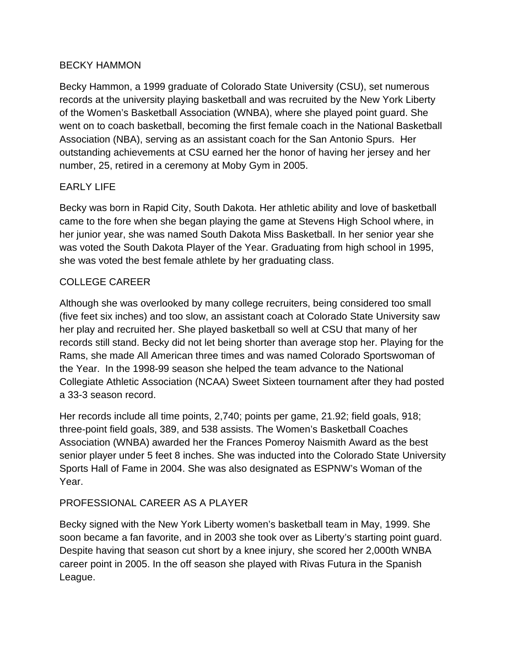### BECKY HAMMON

Becky Hammon, a 1999 graduate of Colorado State University (CSU), set numerous records at the university playing basketball and was recruited by the New York Liberty of the Women's Basketball Association (WNBA), where she played point guard. She went on to coach basketball, becoming the first female coach in the National Basketball Association (NBA), serving as an assistant coach for the San Antonio Spurs. Her outstanding achievements at CSU earned her the honor of having her jersey and her number, 25, retired in a ceremony at Moby Gym in 2005.

# EARLY LIFE

Becky was born in Rapid City, South Dakota. Her athletic ability and love of basketball came to the fore when she began playing the game at Stevens High School where, in her junior year, she was named South Dakota Miss Basketball. In her senior year she was voted the South Dakota Player of the Year. Graduating from high school in 1995, she was voted the best female athlete by her graduating class.

## COLLEGE CAREER

Although she was overlooked by many college recruiters, being considered too small (five feet six inches) and too slow, an assistant coach at Colorado State University saw her play and recruited her. She played basketball so well at CSU that many of her records still stand. Becky did not let being shorter than average stop her. Playing for the Rams, she made All American three times and was named Colorado Sportswoman of the Year. In the 1998-99 season she helped the team advance to the National Collegiate Athletic Association (NCAA) Sweet Sixteen tournament after they had posted a 33-3 season record.

Her records include all time points, 2,740; points per game, 21.92; field goals, 918; three-point field goals, 389, and 538 assists. The Women's Basketball Coaches Association (WNBA) awarded her the Frances Pomeroy Naismith Award as the best senior player under 5 feet 8 inches. She was inducted into the Colorado State University Sports Hall of Fame in 2004. She was also designated as ESPNW's Woman of the Year.

# PROFESSIONAL CAREER AS A PLAYER

Becky signed with the New York Liberty women's basketball team in May, 1999. She soon became a fan favorite, and in 2003 she took over as Liberty's starting point guard. Despite having that season cut short by a knee injury, she scored her 2,000th WNBA career point in 2005. In the off season she played with Rivas Futura in the Spanish League.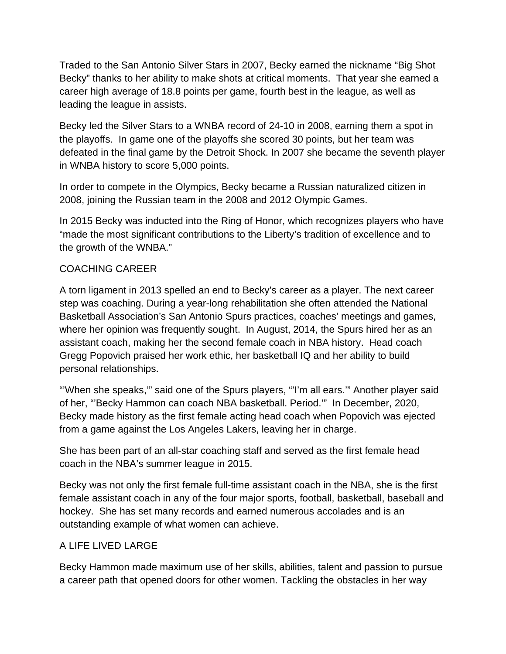Traded to the San Antonio Silver Stars in 2007, Becky earned the nickname "Big Shot Becky" thanks to her ability to make shots at critical moments. That year she earned a career high average of 18.8 points per game, fourth best in the league, as well as leading the league in assists.

Becky led the Silver Stars to a WNBA record of 24-10 in 2008, earning them a spot in the playoffs. In game one of the playoffs she scored 30 points, but her team was defeated in the final game by the Detroit Shock. In 2007 she became the seventh player in WNBA history to score 5,000 points.

In order to compete in the Olympics, Becky became a Russian naturalized citizen in 2008, joining the Russian team in the 2008 and 2012 Olympic Games.

In 2015 Becky was inducted into the Ring of Honor, which recognizes players who have "made the most significant contributions to the Liberty's tradition of excellence and to the growth of the WNBA."

## COACHING CAREER

A torn ligament in 2013 spelled an end to Becky's career as a player. The next career step was coaching. During a year-long rehabilitation she often attended the National Basketball Association's San Antonio Spurs practices, coaches' meetings and games, where her opinion was frequently sought. In August, 2014, the Spurs hired her as an assistant coach, making her the second female coach in NBA history. Head coach Gregg Popovich praised her work ethic, her basketball IQ and her ability to build personal relationships.

"'When she speaks,'" said one of the Spurs players, "'I'm all ears.'" Another player said of her, "'Becky Hammon can coach NBA basketball. Period.'" In December, 2020, Becky made history as the first female acting head coach when Popovich was ejected from a game against the Los Angeles Lakers, leaving her in charge.

She has been part of an all-star coaching staff and served as the first female head coach in the NBA's summer league in 2015.

Becky was not only the first female full-time assistant coach in the NBA, she is the first female assistant coach in any of the four major sports, football, basketball, baseball and hockey. She has set many records and earned numerous accolades and is an outstanding example of what women can achieve.

#### A LIFE LIVED LARGE

Becky Hammon made maximum use of her skills, abilities, talent and passion to pursue a career path that opened doors for other women. Tackling the obstacles in her way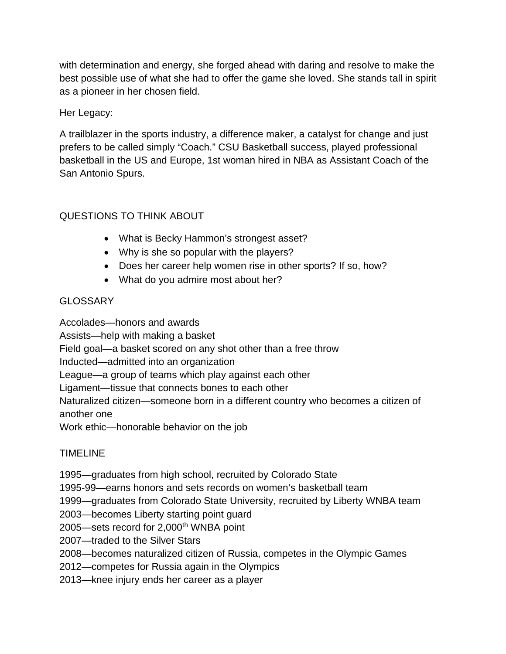with determination and energy, she forged ahead with daring and resolve to make the best possible use of what she had to offer the game she loved. She stands tall in spirit as a pioneer in her chosen field.

Her Legacy:

A trailblazer in the sports industry, a difference maker, a catalyst for change and just prefers to be called simply "Coach." CSU Basketball success, played professional basketball in the US and Europe, 1st woman hired in NBA as Assistant Coach of the San Antonio Spurs.

# QUESTIONS TO THINK ABOUT

- What is Becky Hammon's strongest asset?
- Why is she so popular with the players?
- Does her career help women rise in other sports? If so, how?
- What do you admire most about her?

# **GLOSSARY**

Accolades—honors and awards Assists—help with making a basket Field goal—a basket scored on any shot other than a free throw Inducted—admitted into an organization League—a group of teams which play against each other Ligament—tissue that connects bones to each other Naturalized citizen—someone born in a different country who becomes a citizen of another one Work ethic—honorable behavior on the job

# TIMELINE

1995—graduates from high school, recruited by Colorado State

1995-99—earns honors and sets records on women's basketball team

1999—graduates from Colorado State University, recruited by Liberty WNBA team

2003—becomes Liberty starting point guard

2005—sets record for 2,000<sup>th</sup> WNBA point

2007—traded to the Silver Stars

2008—becomes naturalized citizen of Russia, competes in the Olympic Games

2012—competes for Russia again in the Olympics

2013—knee injury ends her career as a player